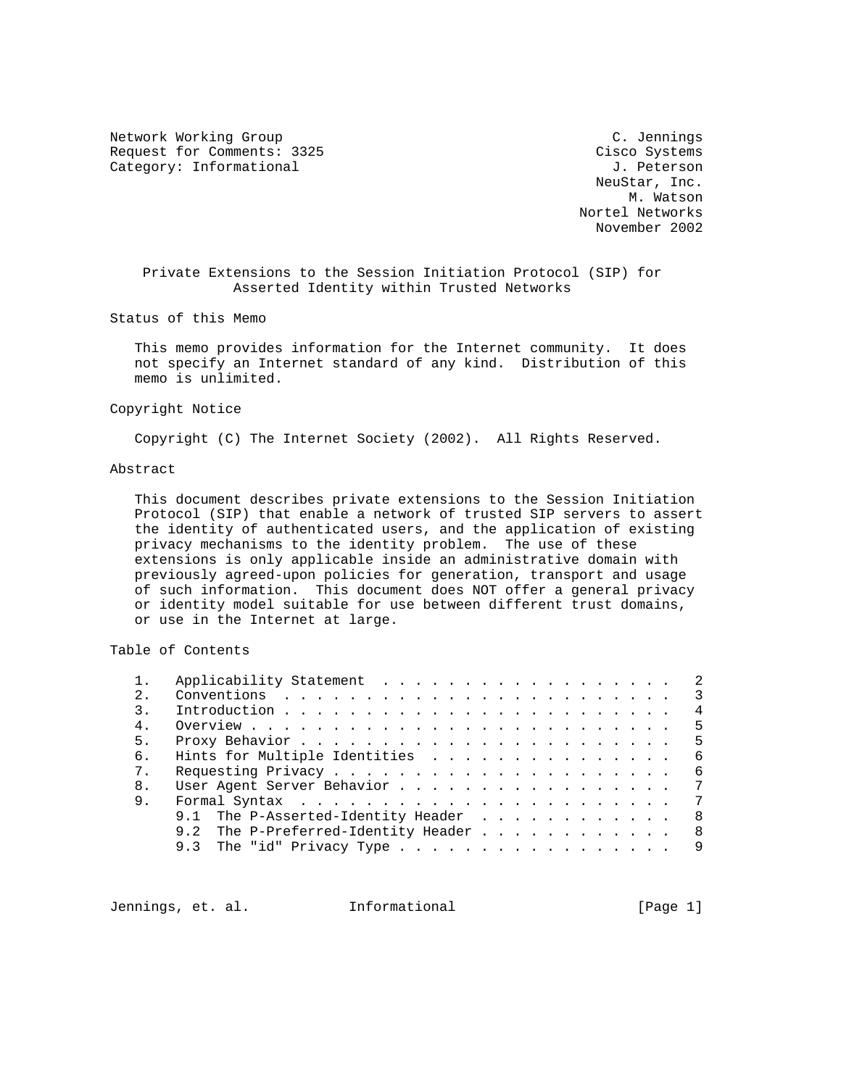Network Working Group C. Jennings Request for Comments: 3325 Cisco Systems Category: Informational and J. Peterson

 NeuStar, Inc. M. Watson Nortel Networks November 2002

 Private Extensions to the Session Initiation Protocol (SIP) for Asserted Identity within Trusted Networks

Status of this Memo

 This memo provides information for the Internet community. It does not specify an Internet standard of any kind. Distribution of this memo is unlimited.

Copyright Notice

Copyright (C) The Internet Society (2002). All Rights Reserved.

# Abstract

 This document describes private extensions to the Session Initiation Protocol (SIP) that enable a network of trusted SIP servers to assert the identity of authenticated users, and the application of existing privacy mechanisms to the identity problem. The use of these extensions is only applicable inside an administrative domain with previously agreed-upon policies for generation, transport and usage of such information. This document does NOT offer a general privacy or identity model suitable for use between different trust domains, or use in the Internet at large.

Table of Contents

|                  | Applicability Statement 2                  |   |
|------------------|--------------------------------------------|---|
| 2.               |                                            |   |
| $\overline{3}$ . | $\overline{4}$                             |   |
| 4 <sub>1</sub>   | - 5                                        |   |
| 5 <sub>1</sub>   |                                            |   |
| б.               | Hints for Multiple Identities<br>- 6       |   |
| $7$ .            | - 6                                        |   |
| 8.               | User Agent Server Behavior 7               |   |
| 9.               |                                            | 7 |
|                  | 9.1 The P-Asserted-Identity Header<br>- 8  |   |
|                  | 9.2 The P-Preferred-Identity Header<br>- 8 |   |
|                  | 9.3 The "id" Privacy Type 9                |   |
|                  |                                            |   |

Jennings, et. al. Informational [Page 1]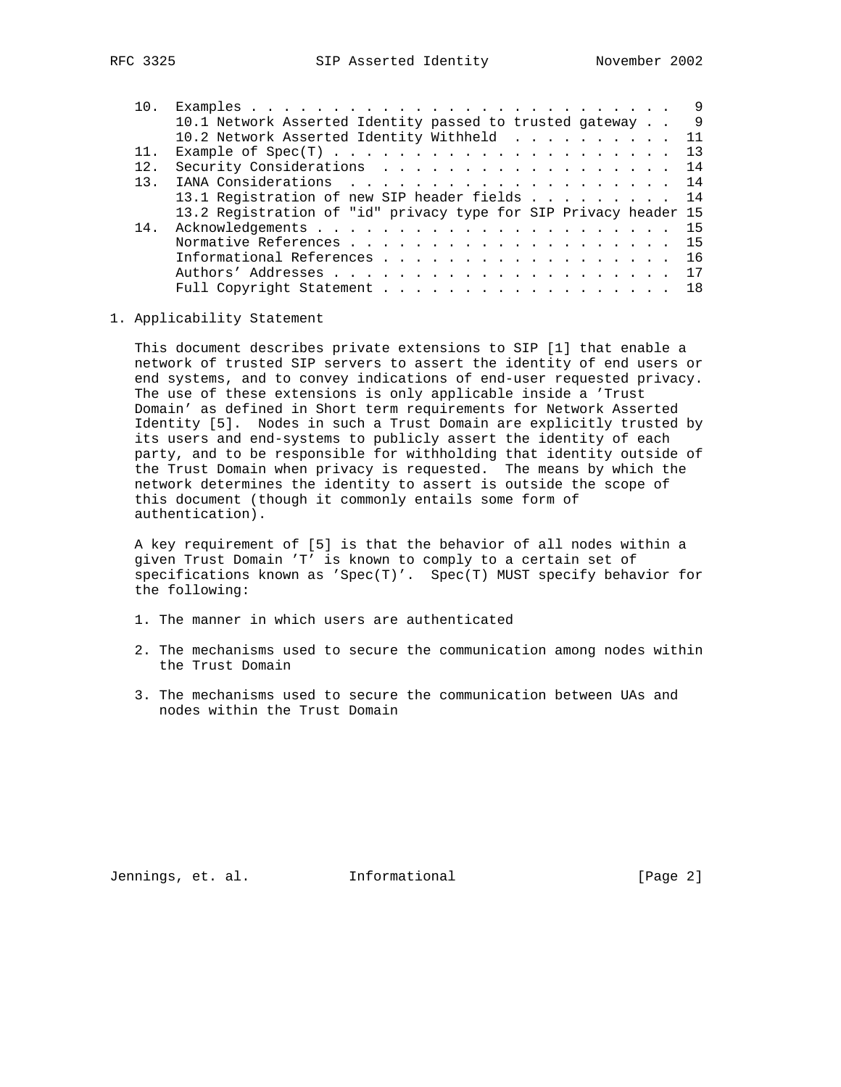| 10. |                                                                  | - 9 |
|-----|------------------------------------------------------------------|-----|
|     | 10.1 Network Asserted Identity passed to trusted gateway         | - 9 |
|     | 10.2 Network Asserted Identity Withheld 11                       |     |
| 11. |                                                                  | 13  |
| 12. | Security Considerations 14                                       |     |
| 13  | IANA Considerations 14                                           |     |
|     | 13.1 Registration of new SIP header fields 14                    |     |
|     | 13.2 Registration of "id" privacy type for SIP Privacy header 15 |     |
| 14. |                                                                  |     |
|     | Normative References 15                                          |     |
|     | Informational References 16                                      |     |
|     |                                                                  |     |
|     | Full Copyright Statement 18                                      |     |

#### 1. Applicability Statement

 This document describes private extensions to SIP [1] that enable a network of trusted SIP servers to assert the identity of end users or end systems, and to convey indications of end-user requested privacy. The use of these extensions is only applicable inside a 'Trust Domain' as defined in Short term requirements for Network Asserted Identity [5]. Nodes in such a Trust Domain are explicitly trusted by its users and end-systems to publicly assert the identity of each party, and to be responsible for withholding that identity outside of the Trust Domain when privacy is requested. The means by which the network determines the identity to assert is outside the scope of this document (though it commonly entails some form of authentication).

 A key requirement of [5] is that the behavior of all nodes within a given Trust Domain 'T' is known to comply to a certain set of specifications known as 'Spec(T)'. Spec(T) MUST specify behavior for the following:

- 1. The manner in which users are authenticated
- 2. The mechanisms used to secure the communication among nodes within the Trust Domain
- 3. The mechanisms used to secure the communication between UAs and nodes within the Trust Domain

Jennings, et. al. Informational [Page 2]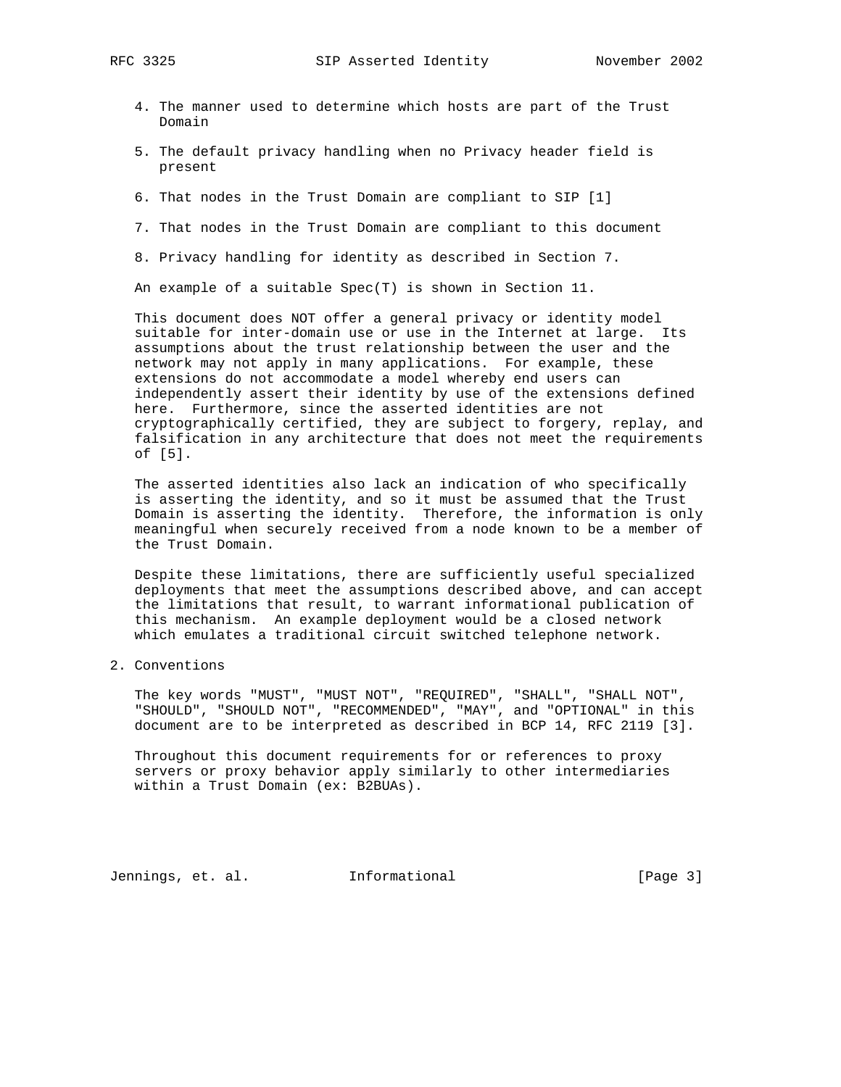- 4. The manner used to determine which hosts are part of the Trust Domain
- 5. The default privacy handling when no Privacy header field is present
- 6. That nodes in the Trust Domain are compliant to SIP [1]
- 7. That nodes in the Trust Domain are compliant to this document
- 8. Privacy handling for identity as described in Section 7.

An example of a suitable Spec(T) is shown in Section 11.

 This document does NOT offer a general privacy or identity model suitable for inter-domain use or use in the Internet at large. Its assumptions about the trust relationship between the user and the network may not apply in many applications. For example, these extensions do not accommodate a model whereby end users can independently assert their identity by use of the extensions defined here. Furthermore, since the asserted identities are not cryptographically certified, they are subject to forgery, replay, and falsification in any architecture that does not meet the requirements of [5].

 The asserted identities also lack an indication of who specifically is asserting the identity, and so it must be assumed that the Trust Domain is asserting the identity. Therefore, the information is only meaningful when securely received from a node known to be a member of the Trust Domain.

 Despite these limitations, there are sufficiently useful specialized deployments that meet the assumptions described above, and can accept the limitations that result, to warrant informational publication of this mechanism. An example deployment would be a closed network which emulates a traditional circuit switched telephone network.

2. Conventions

 The key words "MUST", "MUST NOT", "REQUIRED", "SHALL", "SHALL NOT", "SHOULD", "SHOULD NOT", "RECOMMENDED", "MAY", and "OPTIONAL" in this document are to be interpreted as described in BCP 14, RFC 2119 [3].

 Throughout this document requirements for or references to proxy servers or proxy behavior apply similarly to other intermediaries within a Trust Domain (ex: B2BUAs).

Jennings, et. al. Informational [Page 3]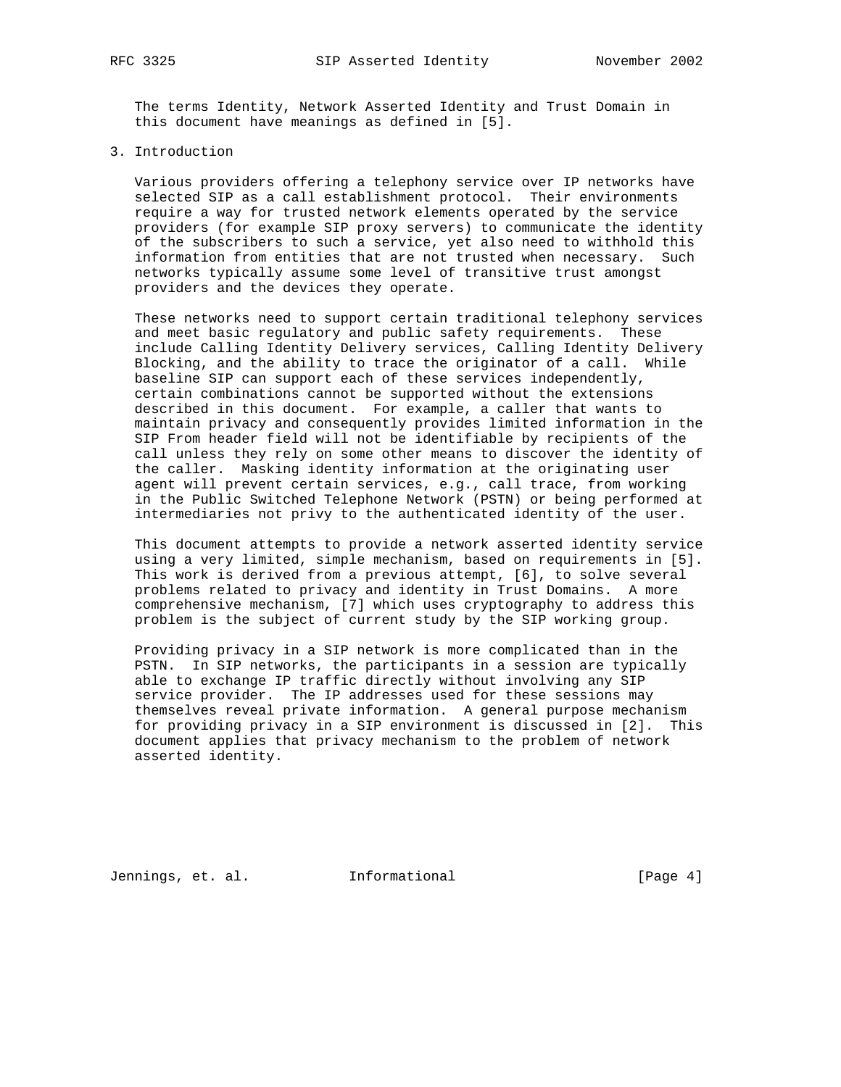The terms Identity, Network Asserted Identity and Trust Domain in this document have meanings as defined in [5].

### 3. Introduction

 Various providers offering a telephony service over IP networks have selected SIP as a call establishment protocol. Their environments require a way for trusted network elements operated by the service providers (for example SIP proxy servers) to communicate the identity of the subscribers to such a service, yet also need to withhold this information from entities that are not trusted when necessary. Such networks typically assume some level of transitive trust amongst providers and the devices they operate.

 These networks need to support certain traditional telephony services and meet basic regulatory and public safety requirements. These include Calling Identity Delivery services, Calling Identity Delivery Blocking, and the ability to trace the originator of a call. While baseline SIP can support each of these services independently, certain combinations cannot be supported without the extensions described in this document. For example, a caller that wants to maintain privacy and consequently provides limited information in the SIP From header field will not be identifiable by recipients of the call unless they rely on some other means to discover the identity of the caller. Masking identity information at the originating user agent will prevent certain services, e.g., call trace, from working in the Public Switched Telephone Network (PSTN) or being performed at intermediaries not privy to the authenticated identity of the user.

 This document attempts to provide a network asserted identity service using a very limited, simple mechanism, based on requirements in [5]. This work is derived from a previous attempt, [6], to solve several problems related to privacy and identity in Trust Domains. A more comprehensive mechanism, [7] which uses cryptography to address this problem is the subject of current study by the SIP working group.

 Providing privacy in a SIP network is more complicated than in the PSTN. In SIP networks, the participants in a session are typically able to exchange IP traffic directly without involving any SIP service provider. The IP addresses used for these sessions may themselves reveal private information. A general purpose mechanism for providing privacy in a SIP environment is discussed in [2]. This document applies that privacy mechanism to the problem of network asserted identity.

Jennings, et. al. 1nformational 1999 [Page 4]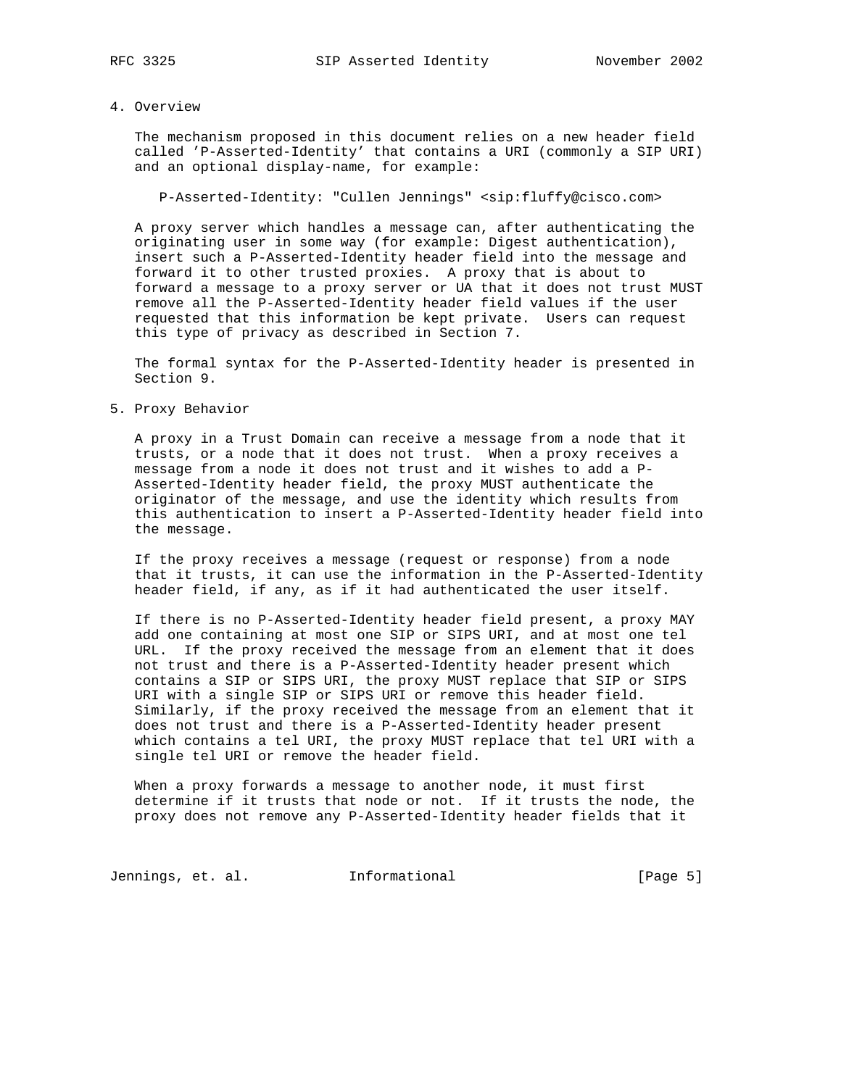## 4. Overview

 The mechanism proposed in this document relies on a new header field called 'P-Asserted-Identity' that contains a URI (commonly a SIP URI) and an optional display-name, for example:

P-Asserted-Identity: "Cullen Jennings" <sip:fluffy@cisco.com>

 A proxy server which handles a message can, after authenticating the originating user in some way (for example: Digest authentication), insert such a P-Asserted-Identity header field into the message and forward it to other trusted proxies. A proxy that is about to forward a message to a proxy server or UA that it does not trust MUST remove all the P-Asserted-Identity header field values if the user requested that this information be kept private. Users can request this type of privacy as described in Section 7.

 The formal syntax for the P-Asserted-Identity header is presented in Section 9.

5. Proxy Behavior

 A proxy in a Trust Domain can receive a message from a node that it trusts, or a node that it does not trust. When a proxy receives a message from a node it does not trust and it wishes to add a P- Asserted-Identity header field, the proxy MUST authenticate the originator of the message, and use the identity which results from this authentication to insert a P-Asserted-Identity header field into the message.

 If the proxy receives a message (request or response) from a node that it trusts, it can use the information in the P-Asserted-Identity header field, if any, as if it had authenticated the user itself.

 If there is no P-Asserted-Identity header field present, a proxy MAY add one containing at most one SIP or SIPS URI, and at most one tel URL. If the proxy received the message from an element that it does not trust and there is a P-Asserted-Identity header present which contains a SIP or SIPS URI, the proxy MUST replace that SIP or SIPS URI with a single SIP or SIPS URI or remove this header field. Similarly, if the proxy received the message from an element that it does not trust and there is a P-Asserted-Identity header present which contains a tel URI, the proxy MUST replace that tel URI with a single tel URI or remove the header field.

 When a proxy forwards a message to another node, it must first determine if it trusts that node or not. If it trusts the node, the proxy does not remove any P-Asserted-Identity header fields that it

Jennings, et. al. 1nformational 1999 [Page 5]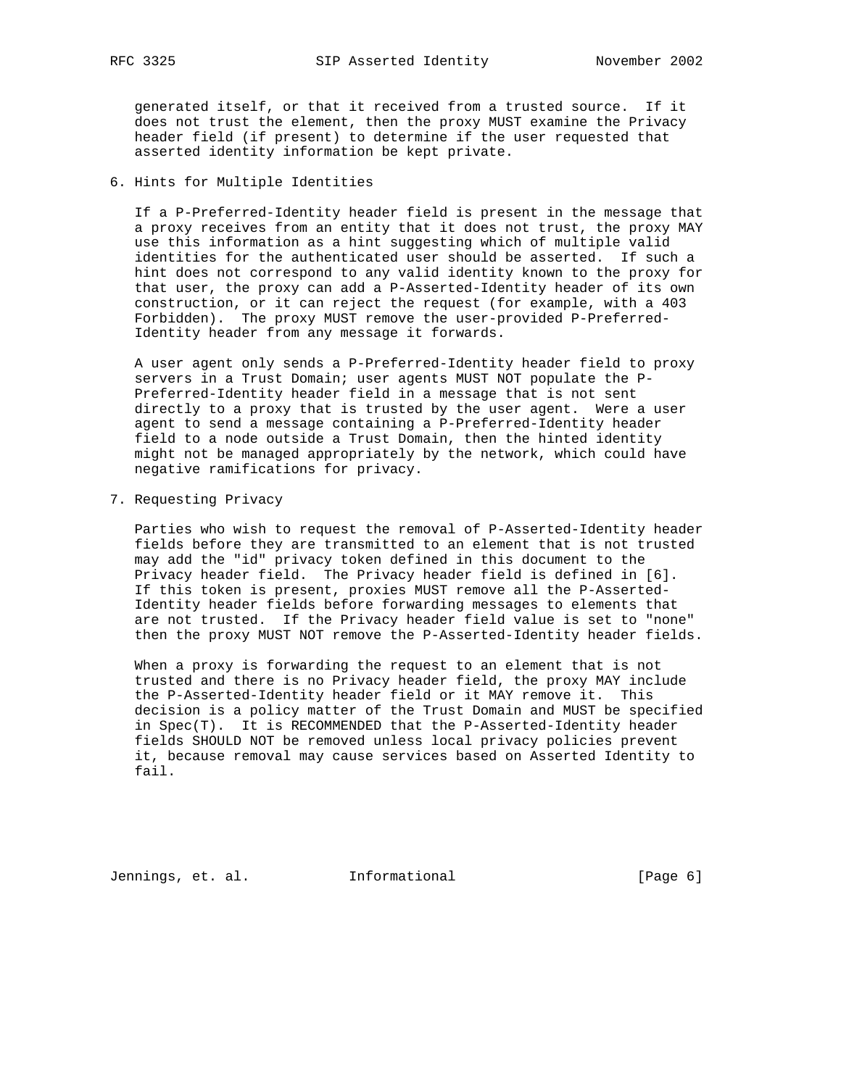generated itself, or that it received from a trusted source. If it does not trust the element, then the proxy MUST examine the Privacy header field (if present) to determine if the user requested that asserted identity information be kept private.

6. Hints for Multiple Identities

 If a P-Preferred-Identity header field is present in the message that a proxy receives from an entity that it does not trust, the proxy MAY use this information as a hint suggesting which of multiple valid identities for the authenticated user should be asserted. If such a hint does not correspond to any valid identity known to the proxy for that user, the proxy can add a P-Asserted-Identity header of its own construction, or it can reject the request (for example, with a 403 Forbidden). The proxy MUST remove the user-provided P-Preferred- Identity header from any message it forwards.

 A user agent only sends a P-Preferred-Identity header field to proxy servers in a Trust Domain; user agents MUST NOT populate the P- Preferred-Identity header field in a message that is not sent directly to a proxy that is trusted by the user agent. Were a user agent to send a message containing a P-Preferred-Identity header field to a node outside a Trust Domain, then the hinted identity might not be managed appropriately by the network, which could have negative ramifications for privacy.

7. Requesting Privacy

 Parties who wish to request the removal of P-Asserted-Identity header fields before they are transmitted to an element that is not trusted may add the "id" privacy token defined in this document to the Privacy header field. The Privacy header field is defined in [6]. If this token is present, proxies MUST remove all the P-Asserted- Identity header fields before forwarding messages to elements that are not trusted. If the Privacy header field value is set to "none" then the proxy MUST NOT remove the P-Asserted-Identity header fields.

 When a proxy is forwarding the request to an element that is not trusted and there is no Privacy header field, the proxy MAY include the P-Asserted-Identity header field or it MAY remove it. This decision is a policy matter of the Trust Domain and MUST be specified in Spec(T). It is RECOMMENDED that the P-Asserted-Identity header fields SHOULD NOT be removed unless local privacy policies prevent it, because removal may cause services based on Asserted Identity to fail.

Jennings, et. al. Informational [Page 6]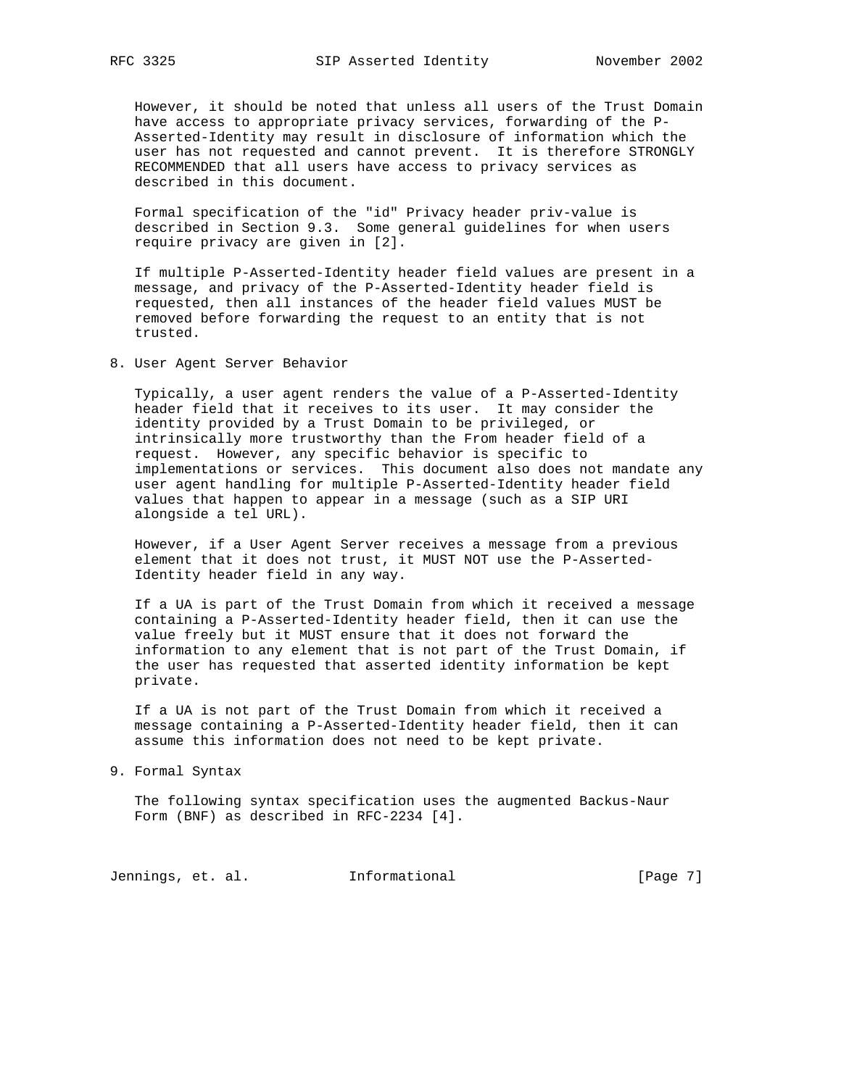However, it should be noted that unless all users of the Trust Domain have access to appropriate privacy services, forwarding of the P- Asserted-Identity may result in disclosure of information which the user has not requested and cannot prevent. It is therefore STRONGLY RECOMMENDED that all users have access to privacy services as described in this document.

 Formal specification of the "id" Privacy header priv-value is described in Section 9.3. Some general guidelines for when users require privacy are given in [2].

 If multiple P-Asserted-Identity header field values are present in a message, and privacy of the P-Asserted-Identity header field is requested, then all instances of the header field values MUST be removed before forwarding the request to an entity that is not trusted.

8. User Agent Server Behavior

 Typically, a user agent renders the value of a P-Asserted-Identity header field that it receives to its user. It may consider the identity provided by a Trust Domain to be privileged, or intrinsically more trustworthy than the From header field of a request. However, any specific behavior is specific to implementations or services. This document also does not mandate any user agent handling for multiple P-Asserted-Identity header field values that happen to appear in a message (such as a SIP URI alongside a tel URL).

 However, if a User Agent Server receives a message from a previous element that it does not trust, it MUST NOT use the P-Asserted- Identity header field in any way.

 If a UA is part of the Trust Domain from which it received a message containing a P-Asserted-Identity header field, then it can use the value freely but it MUST ensure that it does not forward the information to any element that is not part of the Trust Domain, if the user has requested that asserted identity information be kept private.

 If a UA is not part of the Trust Domain from which it received a message containing a P-Asserted-Identity header field, then it can assume this information does not need to be kept private.

9. Formal Syntax

 The following syntax specification uses the augmented Backus-Naur Form (BNF) as described in RFC-2234 [4].

Jennings, et. al. 1nformational 1999 [Page 7]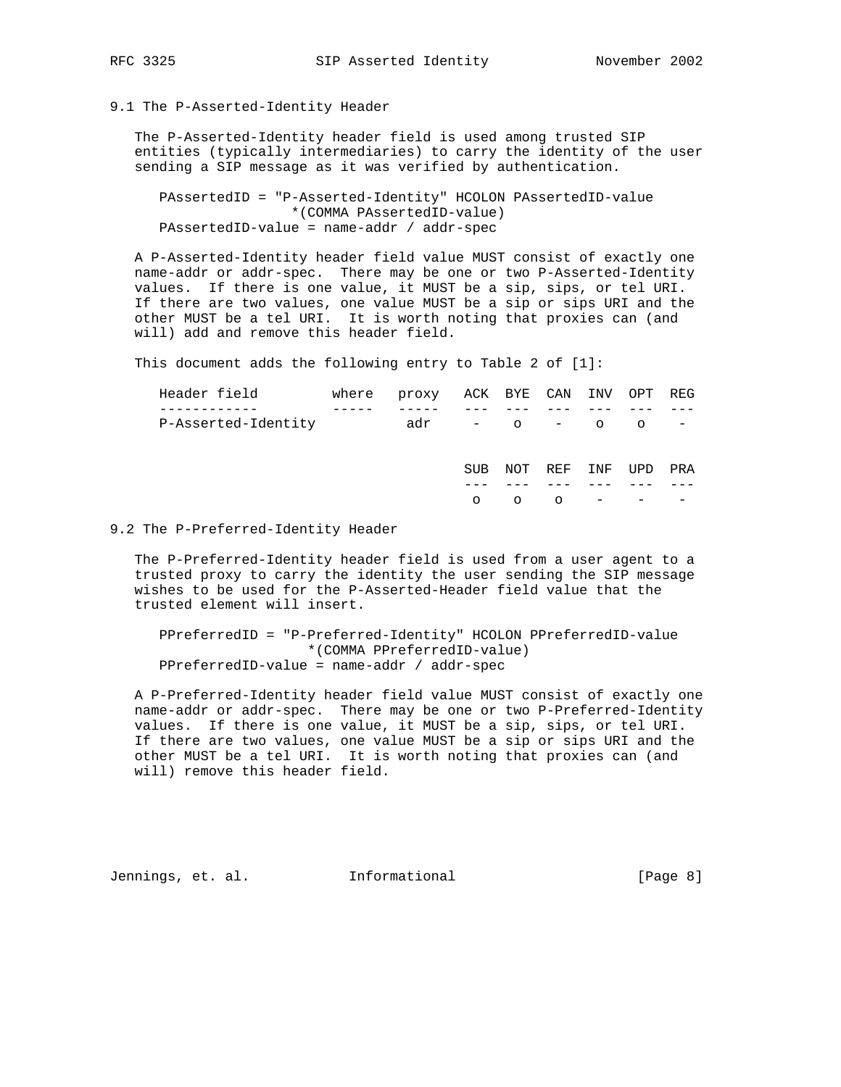### 9.1 The P-Asserted-Identity Header

 The P-Asserted-Identity header field is used among trusted SIP entities (typically intermediaries) to carry the identity of the user sending a SIP message as it was verified by authentication.

 PAssertedID = "P-Asserted-Identity" HCOLON PAssertedID-value \*(COMMA PAssertedID-value) PAssertedID-value = name-addr / addr-spec

 A P-Asserted-Identity header field value MUST consist of exactly one name-addr or addr-spec. There may be one or two P-Asserted-Identity values. If there is one value, it MUST be a sip, sips, or tel URI. If there are two values, one value MUST be a sip or sips URI and the other MUST be a tel URI. It is worth noting that proxies can (and will) add and remove this header field.

This document adds the following entry to Table 2 of [1]:

| Header field        | where | proxy ACK BYE CAN INV |            |         |         |     | OPT     | REG        |
|---------------------|-------|-----------------------|------------|---------|---------|-----|---------|------------|
|                     |       |                       |            |         |         |     |         |            |
| P-Asserted-Identity |       | adr                   |            | $-$ 0   | $-$ 0   |     | $\circ$ | $\sim$ $-$ |
|                     |       |                       |            |         |         |     |         |            |
|                     |       |                       | <b>SUB</b> | NOT     | REF     | INF | UPD     | PRA        |
|                     |       |                       |            |         |         |     |         |            |
|                     |       |                       | $\circ$    | $\circ$ | $\circ$ |     |         |            |
|                     |       |                       |            |         |         |     |         |            |

9.2 The P-Preferred-Identity Header

 The P-Preferred-Identity header field is used from a user agent to a trusted proxy to carry the identity the user sending the SIP message wishes to be used for the P-Asserted-Header field value that the trusted element will insert.

 PPreferredID = "P-Preferred-Identity" HCOLON PPreferredID-value \*(COMMA PPreferredID-value) PPreferredID-value = name-addr / addr-spec

 A P-Preferred-Identity header field value MUST consist of exactly one name-addr or addr-spec. There may be one or two P-Preferred-Identity values. If there is one value, it MUST be a sip, sips, or tel URI. If there are two values, one value MUST be a sip or sips URI and the other MUST be a tel URI. It is worth noting that proxies can (and will) remove this header field.

Jennings, et. al. Informational [Page 8]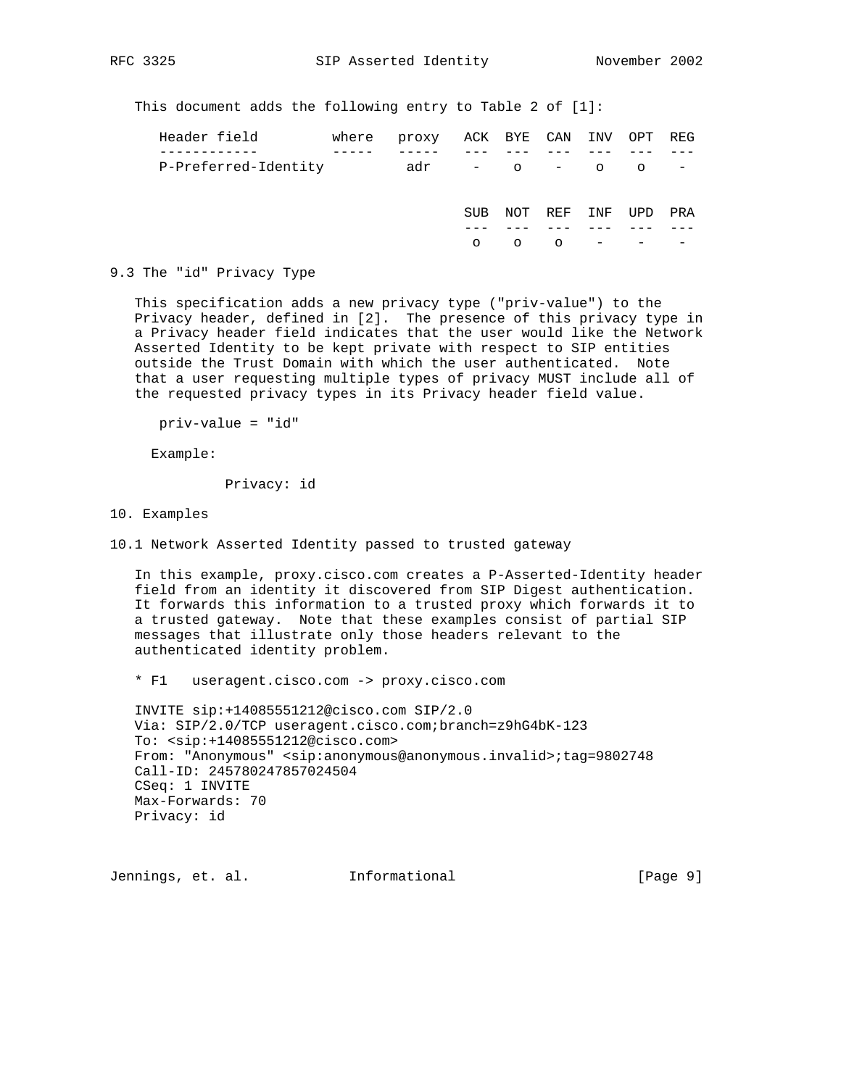This document adds the following entry to Table 2 of [1]:

| Header field         | where | proxy ACK BYE CAN INV OPT REG |            |     |             |     |                |     |
|----------------------|-------|-------------------------------|------------|-----|-------------|-----|----------------|-----|
|                      |       |                               |            |     |             |     |                |     |
| P-Preferred-Identity |       | adr                           |            |     | $-$ 0 $-$ 0 |     | $\overline{O}$ |     |
|                      |       |                               |            |     |             |     |                |     |
|                      |       |                               | <b>SUB</b> | NOT | REF         | INF | UPD            | PRA |
|                      |       |                               |            |     |             |     |                |     |
|                      |       |                               | $\circ$    |     | $\circ$     |     |                |     |

9.3 The "id" Privacy Type

 This specification adds a new privacy type ("priv-value") to the Privacy header, defined in [2]. The presence of this privacy type in a Privacy header field indicates that the user would like the Network Asserted Identity to be kept private with respect to SIP entities outside the Trust Domain with which the user authenticated. Note that a user requesting multiple types of privacy MUST include all of the requested privacy types in its Privacy header field value.

priv-value = "id"

Example:

Privacy: id

10. Examples

10.1 Network Asserted Identity passed to trusted gateway

 In this example, proxy.cisco.com creates a P-Asserted-Identity header field from an identity it discovered from SIP Digest authentication. It forwards this information to a trusted proxy which forwards it to a trusted gateway. Note that these examples consist of partial SIP messages that illustrate only those headers relevant to the authenticated identity problem.

\* F1 useragent.cisco.com -> proxy.cisco.com

 INVITE sip:+14085551212@cisco.com SIP/2.0 Via: SIP/2.0/TCP useragent.cisco.com;branch=z9hG4bK-123 To: <sip:+14085551212@cisco.com> From: "Anonymous" <sip:anonymous@anonymous.invalid>;tag=9802748 Call-ID: 245780247857024504 CSeq: 1 INVITE Max-Forwards: 70 Privacy: id

Jennings, et. al. Informational [Page 9]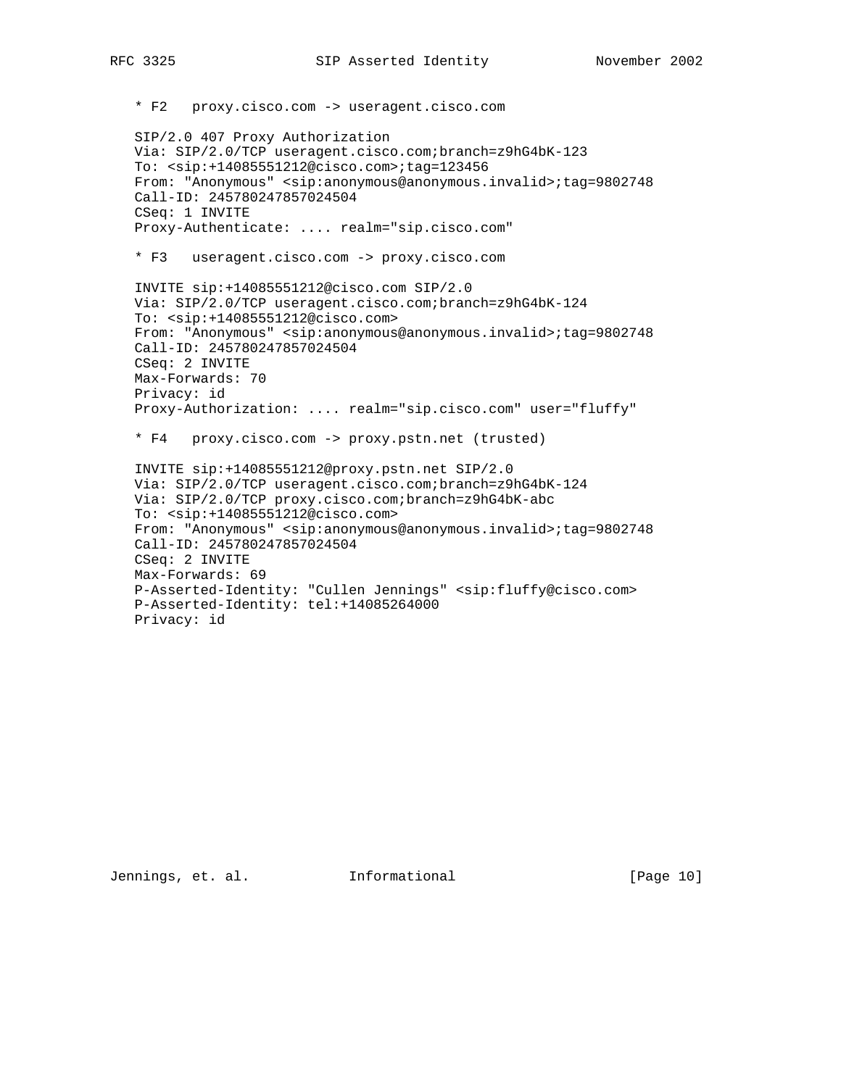\* F2 proxy.cisco.com -> useragent.cisco.com SIP/2.0 407 Proxy Authorization Via: SIP/2.0/TCP useragent.cisco.com;branch=z9hG4bK-123 To: <sip:+14085551212@cisco.com>;tag=123456 From: "Anonymous" <sip:anonymous@anonymous.invalid>;tag=9802748 Call-ID: 245780247857024504 CSeq: 1 INVITE Proxy-Authenticate: .... realm="sip.cisco.com" \* F3 useragent.cisco.com -> proxy.cisco.com INVITE sip:+14085551212@cisco.com SIP/2.0 Via: SIP/2.0/TCP useragent.cisco.com;branch=z9hG4bK-124 To: <sip:+14085551212@cisco.com> From: "Anonymous" <sip:anonymous@anonymous.invalid>;tag=9802748 Call-ID: 245780247857024504 CSeq: 2 INVITE Max-Forwards: 70 Privacy: id Proxy-Authorization: .... realm="sip.cisco.com" user="fluffy" \* F4 proxy.cisco.com -> proxy.pstn.net (trusted) INVITE sip:+14085551212@proxy.pstn.net SIP/2.0 Via: SIP/2.0/TCP useragent.cisco.com;branch=z9hG4bK-124 Via: SIP/2.0/TCP proxy.cisco.com;branch=z9hG4bK-abc To: <sip:+14085551212@cisco.com> From: "Anonymous" <sip:anonymous@anonymous.invalid>;tag=9802748 Call-ID: 245780247857024504 CSeq: 2 INVITE Max-Forwards: 69 P-Asserted-Identity: "Cullen Jennings" <sip:fluffy@cisco.com> P-Asserted-Identity: tel:+14085264000 Privacy: id

Jennings, et. al. Informational [Page 10]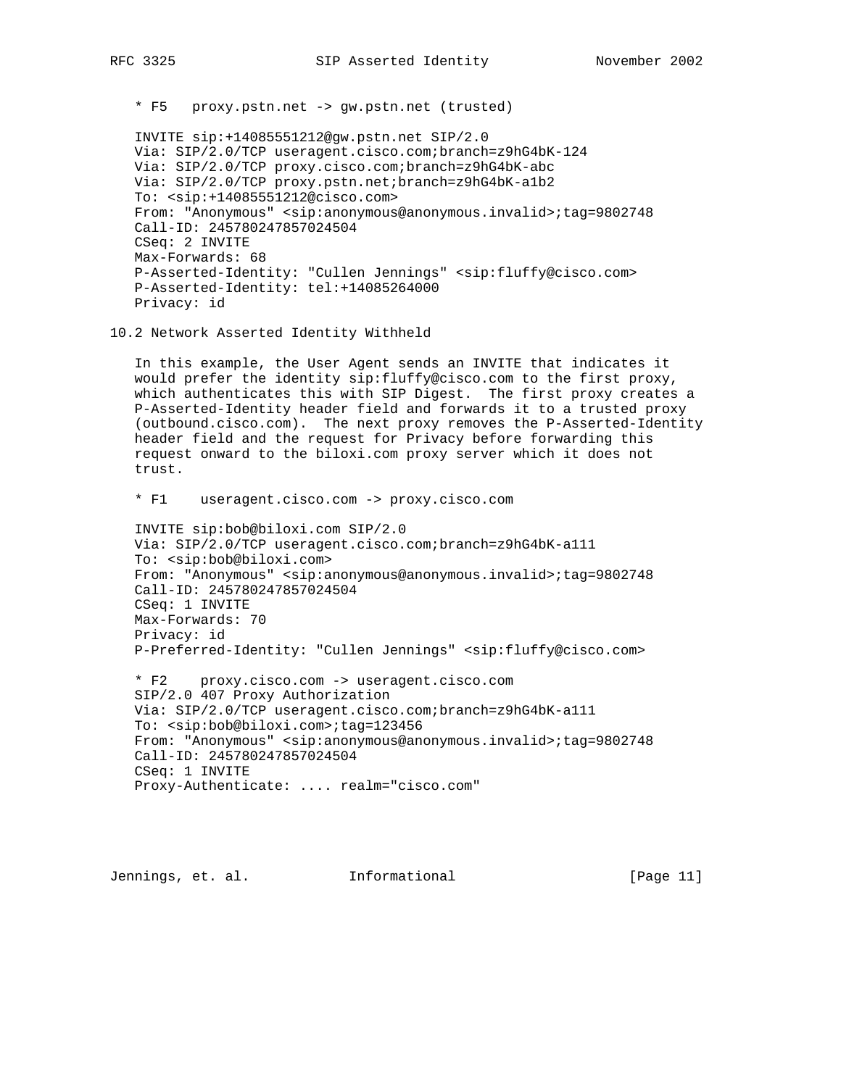\* F5 proxy.pstn.net -> gw.pstn.net (trusted)

 INVITE sip:+14085551212@gw.pstn.net SIP/2.0 Via: SIP/2.0/TCP useragent.cisco.com;branch=z9hG4bK-124 Via: SIP/2.0/TCP proxy.cisco.com;branch=z9hG4bK-abc Via: SIP/2.0/TCP proxy.pstn.net;branch=z9hG4bK-a1b2 To: <sip:+14085551212@cisco.com> From: "Anonymous" <sip:anonymous@anonymous.invalid>;tag=9802748 Call-ID: 245780247857024504 CSeq: 2 INVITE Max-Forwards: 68 P-Asserted-Identity: "Cullen Jennings" <sip:fluffy@cisco.com> P-Asserted-Identity: tel:+14085264000 Privacy: id

### 10.2 Network Asserted Identity Withheld

 In this example, the User Agent sends an INVITE that indicates it would prefer the identity sip:fluffy@cisco.com to the first proxy, which authenticates this with SIP Digest. The first proxy creates a P-Asserted-Identity header field and forwards it to a trusted proxy (outbound.cisco.com). The next proxy removes the P-Asserted-Identity header field and the request for Privacy before forwarding this request onward to the biloxi.com proxy server which it does not trust.

\* F1 useragent.cisco.com -> proxy.cisco.com

 INVITE sip:bob@biloxi.com SIP/2.0 Via: SIP/2.0/TCP useragent.cisco.com;branch=z9hG4bK-a111 To: <sip:bob@biloxi.com> From: "Anonymous" <sip:anonymous@anonymous.invalid>;tag=9802748 Call-ID: 245780247857024504 CSeq: 1 INVITE Max-Forwards: 70 Privacy: id P-Preferred-Identity: "Cullen Jennings" <sip:fluffy@cisco.com>

 \* F2 proxy.cisco.com -> useragent.cisco.com SIP/2.0 407 Proxy Authorization Via: SIP/2.0/TCP useragent.cisco.com;branch=z9hG4bK-a111 To: <sip:bob@biloxi.com>;tag=123456 From: "Anonymous" <sip:anonymous@anonymous.invalid>;tag=9802748 Call-ID: 245780247857024504 CSeq: 1 INVITE Proxy-Authenticate: .... realm="cisco.com"

Jennings, et. al. Informational [Page 11]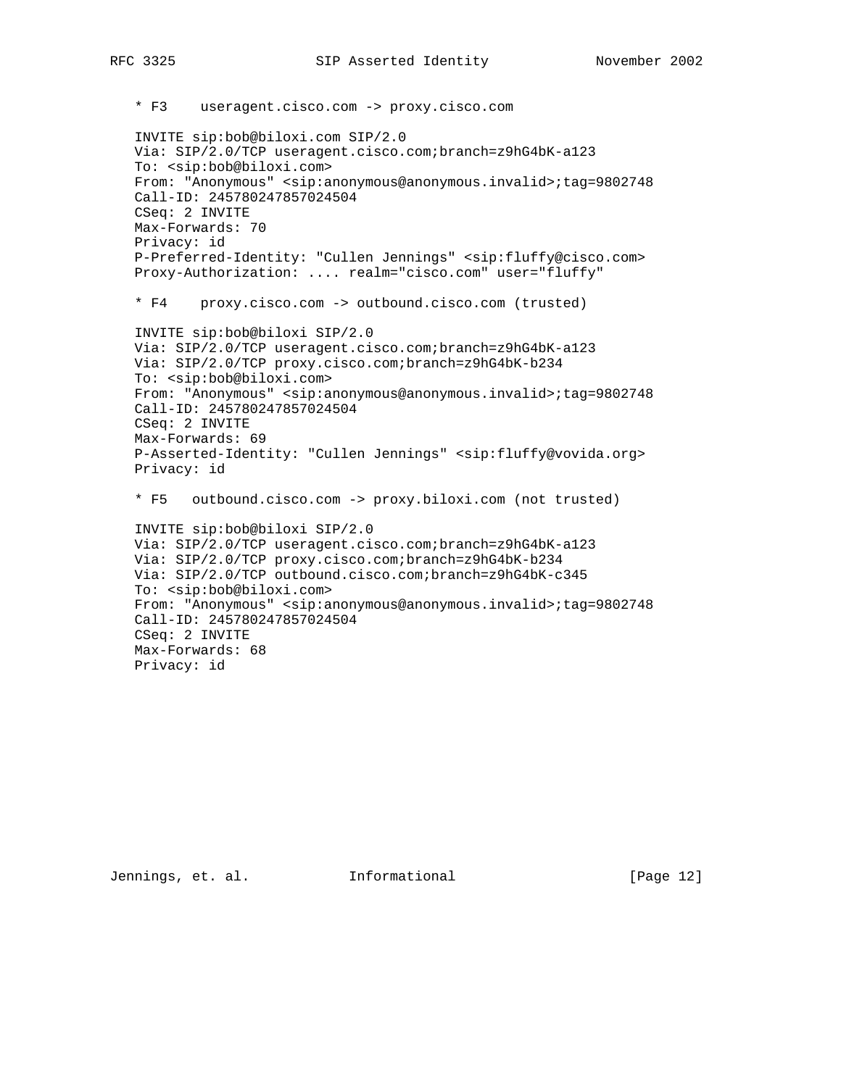\* F3 useragent.cisco.com -> proxy.cisco.com INVITE sip:bob@biloxi.com SIP/2.0 Via: SIP/2.0/TCP useragent.cisco.com;branch=z9hG4bK-a123 To: <sip:bob@biloxi.com> From: "Anonymous" <sip:anonymous@anonymous.invalid>;tag=9802748 Call-ID: 245780247857024504 CSeq: 2 INVITE Max-Forwards: 70 Privacy: id P-Preferred-Identity: "Cullen Jennings" <sip:fluffy@cisco.com> Proxy-Authorization: .... realm="cisco.com" user="fluffy" \* F4 proxy.cisco.com -> outbound.cisco.com (trusted) INVITE sip:bob@biloxi SIP/2.0 Via: SIP/2.0/TCP useragent.cisco.com;branch=z9hG4bK-a123 Via: SIP/2.0/TCP proxy.cisco.com;branch=z9hG4bK-b234 To: <sip:bob@biloxi.com> From: "Anonymous" <sip:anonymous@anonymous.invalid>;tag=9802748 Call-ID: 245780247857024504 CSeq: 2 INVITE Max-Forwards: 69 P-Asserted-Identity: "Cullen Jennings" <sip:fluffy@vovida.org> Privacy: id \* F5 outbound.cisco.com -> proxy.biloxi.com (not trusted) INVITE sip:bob@biloxi SIP/2.0 Via: SIP/2.0/TCP useragent.cisco.com;branch=z9hG4bK-a123 Via: SIP/2.0/TCP proxy.cisco.com;branch=z9hG4bK-b234 Via: SIP/2.0/TCP outbound.cisco.com;branch=z9hG4bK-c345 To: <sip:bob@biloxi.com> From: "Anonymous" <sip:anonymous@anonymous.invalid>;tag=9802748 Call-ID: 245780247857024504 CSeq: 2 INVITE Max-Forwards: 68 Privacy: id

Jennings, et. al. Informational [Page 12]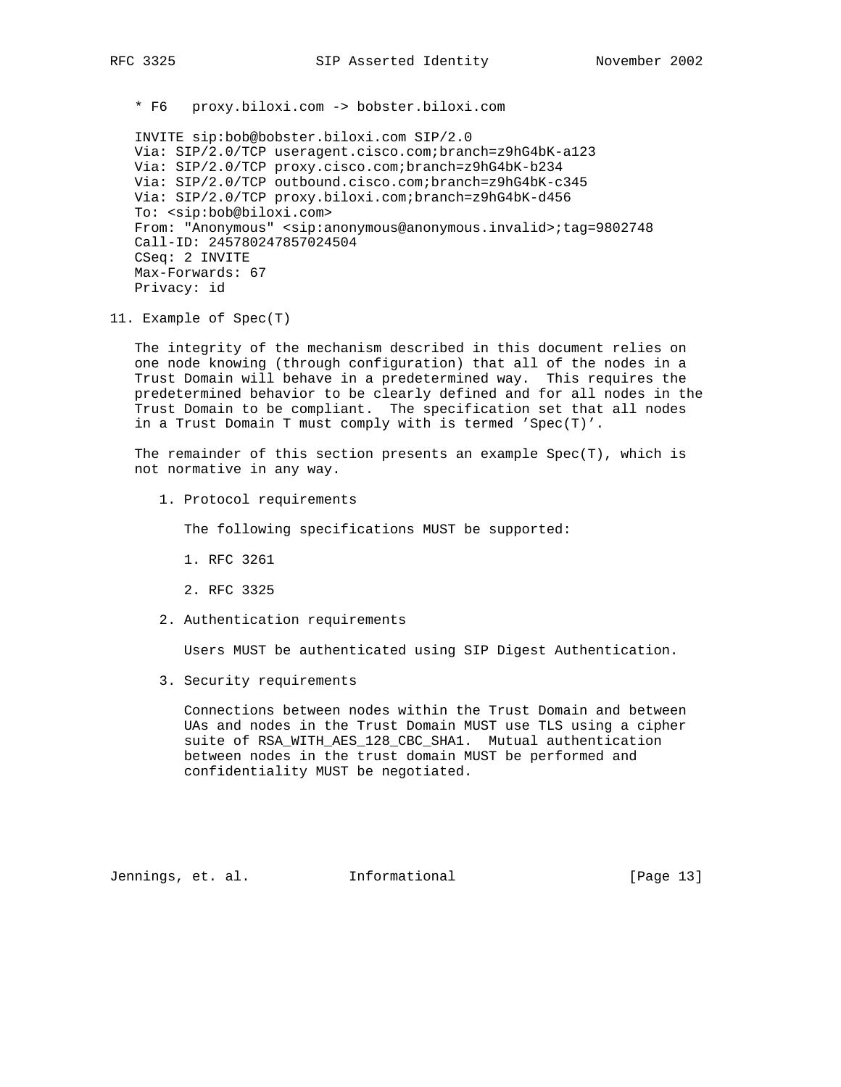\* F6 proxy.biloxi.com -> bobster.biloxi.com

 INVITE sip:bob@bobster.biloxi.com SIP/2.0 Via: SIP/2.0/TCP useragent.cisco.com;branch=z9hG4bK-a123 Via: SIP/2.0/TCP proxy.cisco.com;branch=z9hG4bK-b234 Via: SIP/2.0/TCP outbound.cisco.com;branch=z9hG4bK-c345 Via: SIP/2.0/TCP proxy.biloxi.com;branch=z9hG4bK-d456 To: <sip:bob@biloxi.com> From: "Anonymous" <sip:anonymous@anonymous.invalid>;tag=9802748 Call-ID: 245780247857024504 CSeq: 2 INVITE Max-Forwards: 67 Privacy: id

11. Example of Spec(T)

 The integrity of the mechanism described in this document relies on one node knowing (through configuration) that all of the nodes in a Trust Domain will behave in a predetermined way. This requires the predetermined behavior to be clearly defined and for all nodes in the Trust Domain to be compliant. The specification set that all nodes in a Trust Domain T must comply with is termed 'Spec(T)'.

 The remainder of this section presents an example Spec(T), which is not normative in any way.

1. Protocol requirements

The following specifications MUST be supported:

- 1. RFC 3261
- 2. RFC 3325
- 2. Authentication requirements

Users MUST be authenticated using SIP Digest Authentication.

3. Security requirements

 Connections between nodes within the Trust Domain and between UAs and nodes in the Trust Domain MUST use TLS using a cipher suite of RSA\_WITH\_AES\_128\_CBC\_SHA1. Mutual authentication between nodes in the trust domain MUST be performed and confidentiality MUST be negotiated.

Jennings, et. al. Informational [Page 13]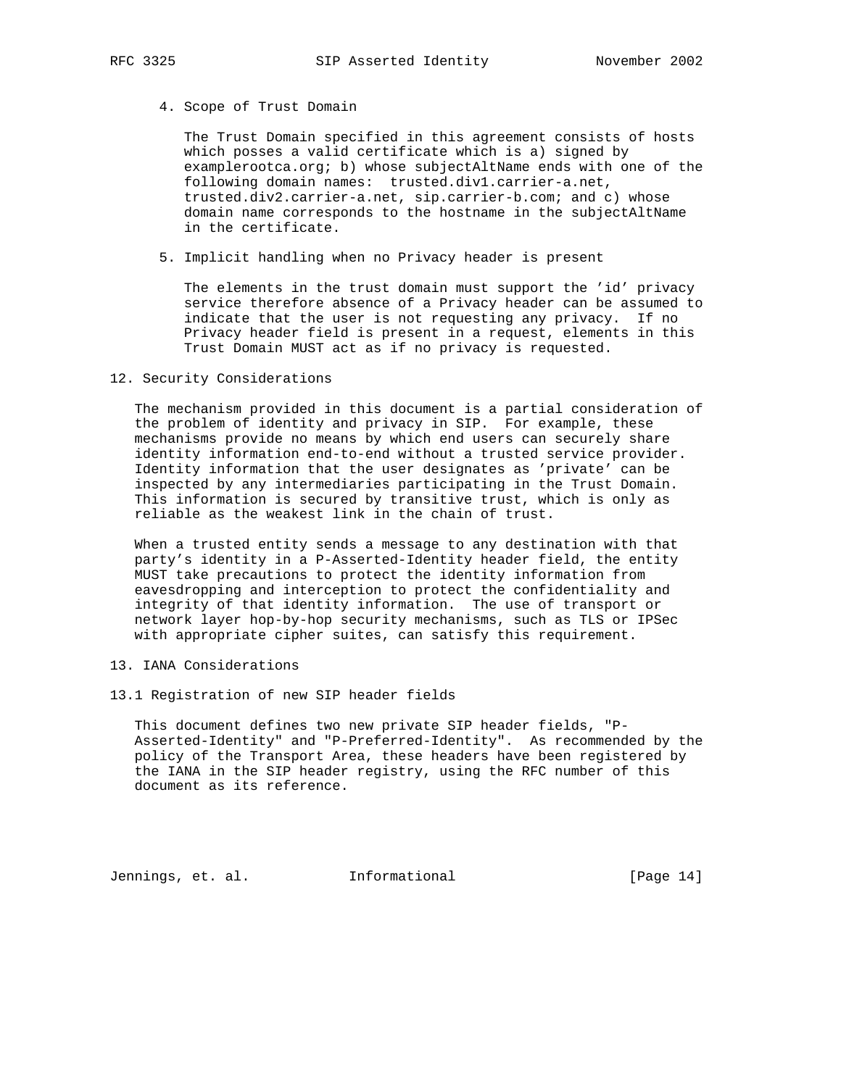4. Scope of Trust Domain

 The Trust Domain specified in this agreement consists of hosts which posses a valid certificate which is a) signed by examplerootca.org; b) whose subjectAltName ends with one of the following domain names: trusted.div1.carrier-a.net, trusted.div2.carrier-a.net, sip.carrier-b.com; and c) whose domain name corresponds to the hostname in the subjectAltName in the certificate.

5. Implicit handling when no Privacy header is present

 The elements in the trust domain must support the 'id' privacy service therefore absence of a Privacy header can be assumed to indicate that the user is not requesting any privacy. If no Privacy header field is present in a request, elements in this Trust Domain MUST act as if no privacy is requested.

#### 12. Security Considerations

 The mechanism provided in this document is a partial consideration of the problem of identity and privacy in SIP. For example, these mechanisms provide no means by which end users can securely share identity information end-to-end without a trusted service provider. Identity information that the user designates as 'private' can be inspected by any intermediaries participating in the Trust Domain. This information is secured by transitive trust, which is only as reliable as the weakest link in the chain of trust.

 When a trusted entity sends a message to any destination with that party's identity in a P-Asserted-Identity header field, the entity MUST take precautions to protect the identity information from eavesdropping and interception to protect the confidentiality and integrity of that identity information. The use of transport or network layer hop-by-hop security mechanisms, such as TLS or IPSec with appropriate cipher suites, can satisfy this requirement.

- 13. IANA Considerations
- 13.1 Registration of new SIP header fields

 This document defines two new private SIP header fields, "P- Asserted-Identity" and "P-Preferred-Identity". As recommended by the policy of the Transport Area, these headers have been registered by the IANA in the SIP header registry, using the RFC number of this document as its reference.

Jennings, et. al. Informational [Page 14]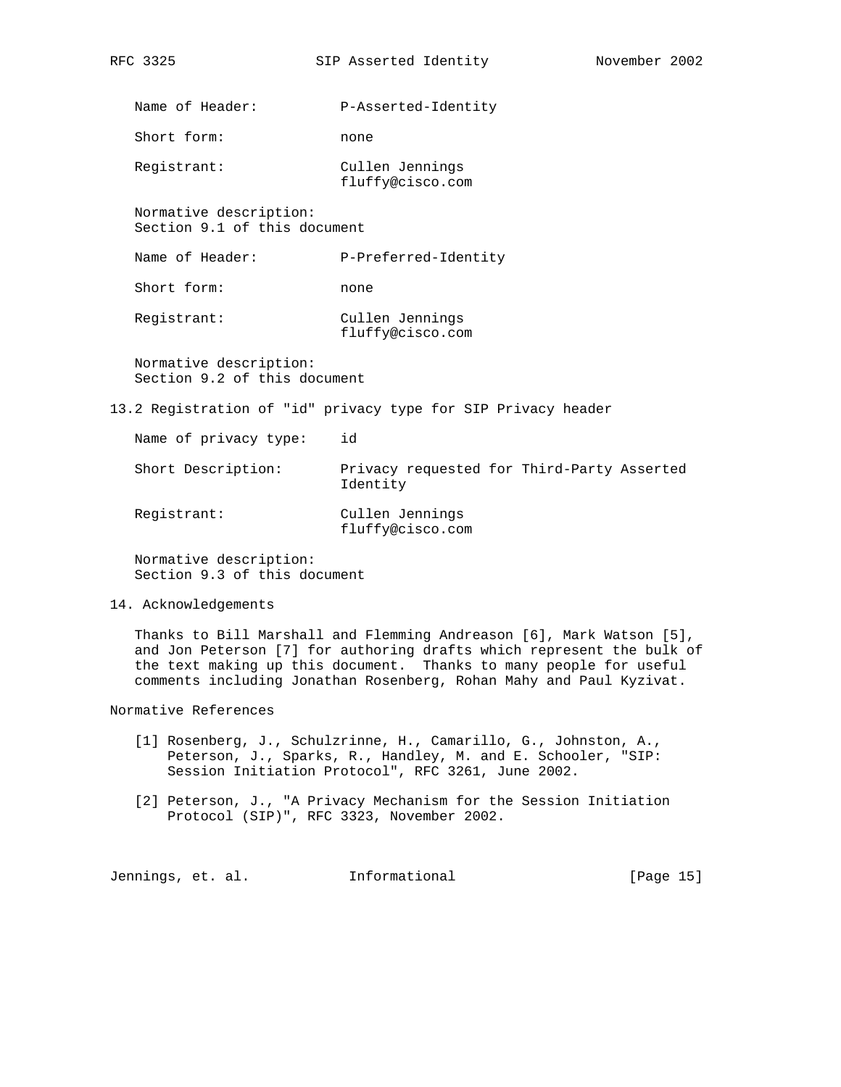Name of Header: P-Asserted-Identity

Short form: none

 Registrant: Cullen Jennings fluffy@cisco.com

 Normative description: Section 9.1 of this document

Name of Header: P-Preferred-Identity

Short form: none

 Registrant: Cullen Jennings fluffy@cisco.com

 Normative description: Section 9.2 of this document

13.2 Registration of "id" privacy type for SIP Privacy header

| Name of privacy type: | id                                                     |
|-----------------------|--------------------------------------------------------|
| Short Description:    | Privacy requested for Third-Party Asserted<br>Identity |
| Registrant:           | Cullen Jennings<br>fluffy@cisco.com                    |

 Normative description: Section 9.3 of this document

## 14. Acknowledgements

 Thanks to Bill Marshall and Flemming Andreason [6], Mark Watson [5], and Jon Peterson [7] for authoring drafts which represent the bulk of the text making up this document. Thanks to many people for useful comments including Jonathan Rosenberg, Rohan Mahy and Paul Kyzivat.

Normative References

- [1] Rosenberg, J., Schulzrinne, H., Camarillo, G., Johnston, A., Peterson, J., Sparks, R., Handley, M. and E. Schooler, "SIP: Session Initiation Protocol", RFC 3261, June 2002.
- [2] Peterson, J., "A Privacy Mechanism for the Session Initiation Protocol (SIP)", RFC 3323, November 2002.

Jennings, et. al. Informational [Page 15]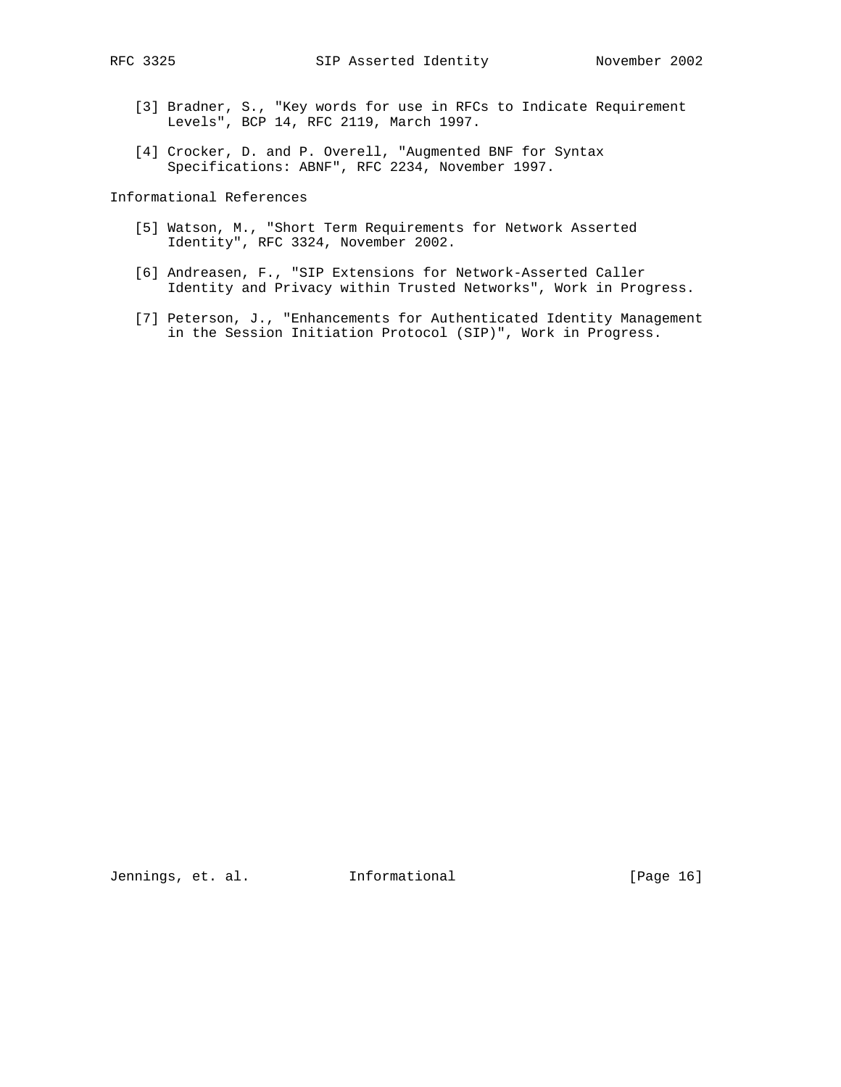- [3] Bradner, S., "Key words for use in RFCs to Indicate Requirement Levels", BCP 14, RFC 2119, March 1997.
- [4] Crocker, D. and P. Overell, "Augmented BNF for Syntax Specifications: ABNF", RFC 2234, November 1997.

Informational References

- [5] Watson, M., "Short Term Requirements for Network Asserted Identity", RFC 3324, November 2002.
- [6] Andreasen, F., "SIP Extensions for Network-Asserted Caller Identity and Privacy within Trusted Networks", Work in Progress.
- [7] Peterson, J., "Enhancements for Authenticated Identity Management in the Session Initiation Protocol (SIP)", Work in Progress.

Jennings, et. al. 1nformational 1999 [Page 16]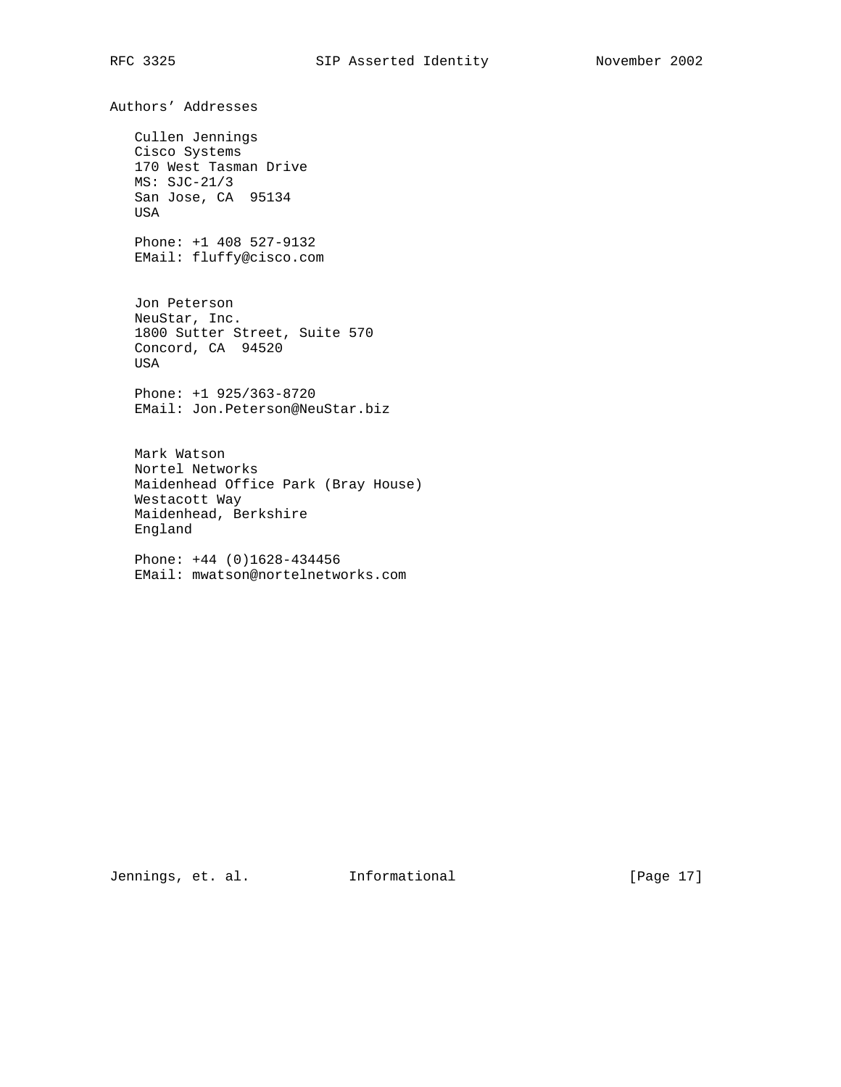Authors' Addresses

 Cullen Jennings Cisco Systems 170 West Tasman Drive MS: SJC-21/3 San Jose, CA 95134 USA

 Phone: +1 408 527-9132 EMail: fluffy@cisco.com

 Jon Peterson NeuStar, Inc. 1800 Sutter Street, Suite 570 Concord, CA 94520 USA

 Phone: +1 925/363-8720 EMail: Jon.Peterson@NeuStar.biz

 Mark Watson Nortel Networks Maidenhead Office Park (Bray House) Westacott Way Maidenhead, Berkshire England

 Phone: +44 (0)1628-434456 EMail: mwatson@nortelnetworks.com

Jennings, et. al. 1nformational 1999 [Page 17]